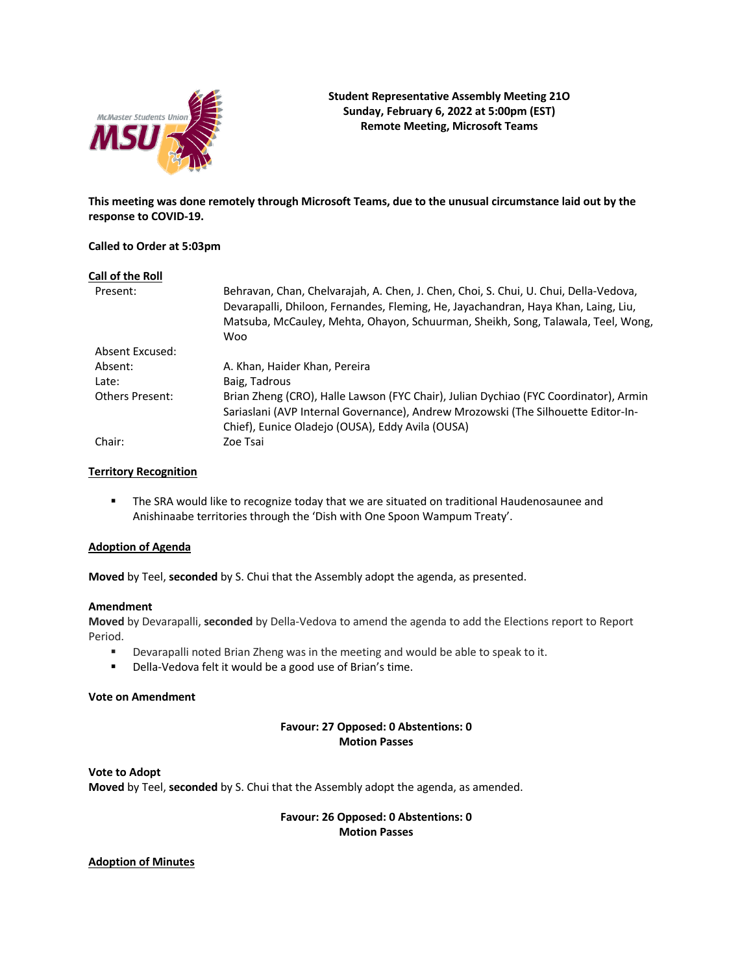

**Student Representative Assembly Meeting 21O Sunday, February 6, 2022 at 5:00pm (EST) Remote Meeting, Microsoft Teams**

**This meeting was done remotely through Microsoft Teams, due to the unusual circumstance laid out by the response to COVID-19.**

### **Called to Order at 5:03pm**

| Call of the Roll       |                                                                                                                                                                                                                                                                |
|------------------------|----------------------------------------------------------------------------------------------------------------------------------------------------------------------------------------------------------------------------------------------------------------|
| Present:               | Behravan, Chan, Chelvarajah, A. Chen, J. Chen, Choi, S. Chui, U. Chui, Della-Vedova,<br>Devarapalli, Dhiloon, Fernandes, Fleming, He, Jayachandran, Haya Khan, Laing, Liu,<br>Matsuba, McCauley, Mehta, Ohayon, Schuurman, Sheikh, Song, Talawala, Teel, Wong, |
|                        | <b>Woo</b>                                                                                                                                                                                                                                                     |
| Absent Excused:        |                                                                                                                                                                                                                                                                |
| Absent:                | A. Khan, Haider Khan, Pereira                                                                                                                                                                                                                                  |
| Late:                  | Baig, Tadrous                                                                                                                                                                                                                                                  |
| <b>Others Present:</b> | Brian Zheng (CRO), Halle Lawson (FYC Chair), Julian Dychiao (FYC Coordinator), Armin<br>Sariaslani (AVP Internal Governance), Andrew Mrozowski (The Silhouette Editor-In-                                                                                      |
|                        | Chief), Eunice Oladejo (OUSA), Eddy Avila (OUSA)                                                                                                                                                                                                               |
| Chair:                 | Zoe Tsai                                                                                                                                                                                                                                                       |
|                        |                                                                                                                                                                                                                                                                |

# **Territory Recognition**

**•** The SRA would like to recognize today that we are situated on traditional Haudenosaunee and Anishinaabe territories through the 'Dish with One Spoon Wampum Treaty'.

## **Adoption of Agenda**

**Moved** by Teel, **seconded** by S. Chui that the Assembly adopt the agenda, as presented.

#### **Amendment**

**Moved** by Devarapalli, **seconded** by Della-Vedova to amend the agenda to add the Elections report to Report Period.

- § Devarapalli noted Brian Zheng was in the meeting and would be able to speak to it.
- Della-Vedova felt it would be a good use of Brian's time.

## **Vote on Amendment**

### **Favour: 27 Opposed: 0 Abstentions: 0 Motion Passes**

**Vote to Adopt Moved** by Teel, **seconded** by S. Chui that the Assembly adopt the agenda, as amended.

> **Favour: 26 Opposed: 0 Abstentions: 0 Motion Passes**

## **Adoption of Minutes**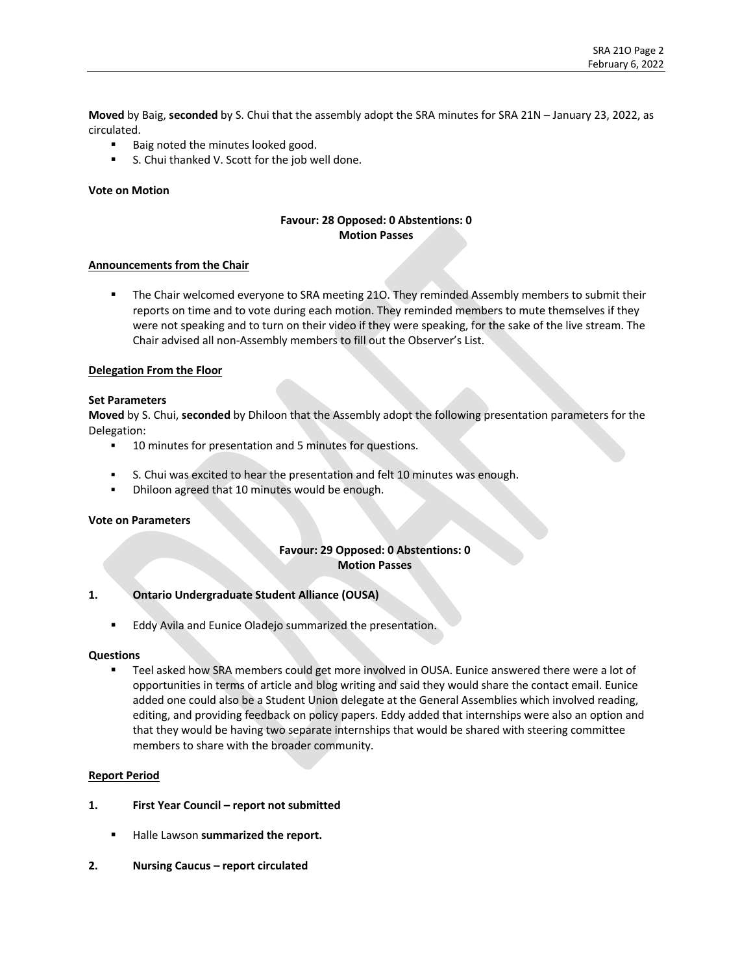**Moved** by Baig, **seconded** by S. Chui that the assembly adopt the SRA minutes for SRA 21N – January 23, 2022, as circulated.

- Baig noted the minutes looked good.
- S. Chui thanked V. Scott for the job well done.

#### **Vote on Motion**

# **Favour: 28 Opposed: 0 Abstentions: 0 Motion Passes**

#### **Announcements from the Chair**

**•** The Chair welcomed everyone to SRA meeting 210. They reminded Assembly members to submit their reports on time and to vote during each motion. They reminded members to mute themselves if they were not speaking and to turn on their video if they were speaking, for the sake of the live stream. The Chair advised all non-Assembly members to fill out the Observer's List.

#### **Delegation From the Floor**

#### **Set Parameters**

**Moved** by S. Chui, **seconded** by Dhiloon that the Assembly adopt the following presentation parameters for the Delegation:

- **•** 10 minutes for presentation and 5 minutes for questions.
- § S. Chui was excited to hear the presentation and felt 10 minutes was enough.
- Dhiloon agreed that 10 minutes would be enough.

#### **Vote on Parameters**

### **Favour: 29 Opposed: 0 Abstentions: 0 Motion Passes**

### **1. Ontario Undergraduate Student Alliance (OUSA)**

■ Eddy Avila and Eunice Oladejo summarized the presentation.

#### **Questions**

Teel asked how SRA members could get more involved in OUSA. Eunice answered there were a lot of opportunities in terms of article and blog writing and said they would share the contact email. Eunice added one could also be a Student Union delegate at the General Assemblies which involved reading, editing, and providing feedback on policy papers. Eddy added that internships were also an option and that they would be having two separate internships that would be shared with steering committee members to share with the broader community.

#### **Report Period**

- **1. First Year Council – report not submitted**
	- § Halle Lawson **summarized the report.**
- **2. Nursing Caucus – report circulated**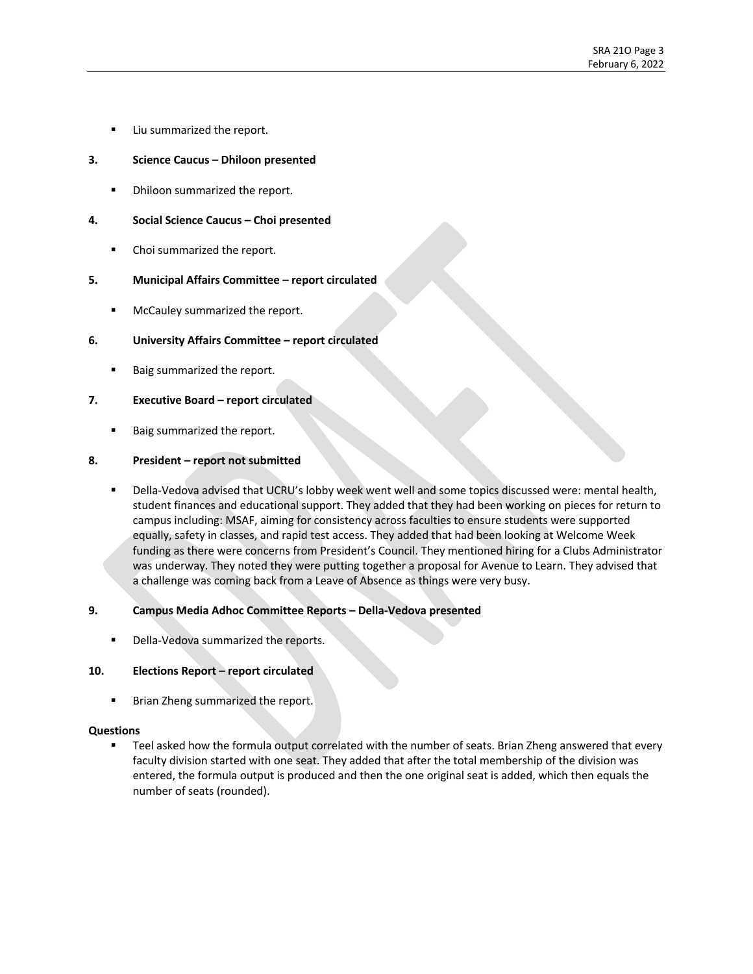■ Liu summarized the report.

# **3. Science Caucus – Dhiloon presented**

**•** Dhiloon summarized the report.

# **4. Social Science Caucus – Choi presented**

■ Choi summarized the report.

# **5. Municipal Affairs Committee – report circulated**

**■** McCauley summarized the report.

# **6. University Affairs Committee – report circulated**

Baig summarized the report.

# **7. Executive Board – report circulated**

■ Baig summarized the report.

# **8. President – report not submitted**

Della-Vedova advised that UCRU's lobby week went well and some topics discussed were: mental health, student finances and educational support. They added that they had been working on pieces for return to campus including: MSAF, aiming for consistency across faculties to ensure students were supported equally, safety in classes, and rapid test access. They added that had been looking at Welcome Week funding as there were concerns from President's Council. They mentioned hiring for a Clubs Administrator was underway. They noted they were putting together a proposal for Avenue to Learn. They advised that a challenge was coming back from a Leave of Absence as things were very busy.

# **9. Campus Media Adhoc Committee Reports – Della-Vedova presented**

Della-Vedova summarized the reports.

# **10. Elections Report – report circulated**

■ Brian Zheng summarized the report.

# **Questions**

Teel asked how the formula output correlated with the number of seats. Brian Zheng answered that every faculty division started with one seat. They added that after the total membership of the division was entered, the formula output is produced and then the one original seat is added, which then equals the number of seats (rounded).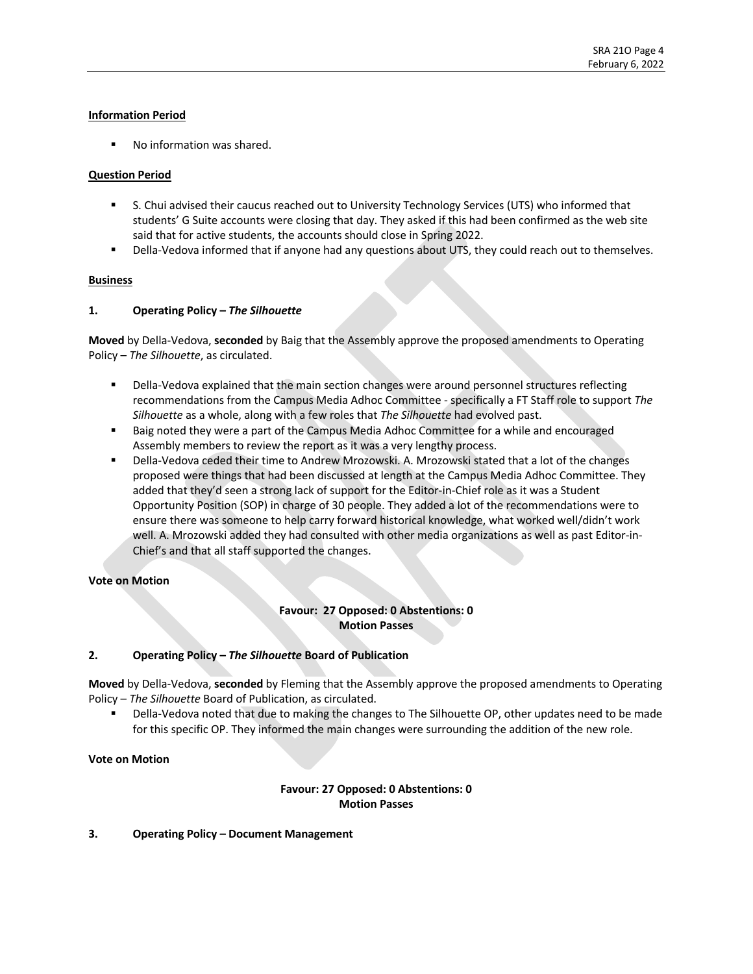# **Information Period**

■ No information was shared.

### **Question Period**

- § S. Chui advised their caucus reached out to University Technology Services (UTS) who informed that students' G Suite accounts were closing that day. They asked if this had been confirmed as the web site said that for active students, the accounts should close in Spring 2022.
- Della-Vedova informed that if anyone had any questions about UTS, they could reach out to themselves.

### **Business**

### **1. Operating Policy –** *The Silhouette*

**Moved** by Della-Vedova, **seconded** by Baig that the Assembly approve the proposed amendments to Operating Policy – *The Silhouette*, as circulated.

- Della-Vedova explained that the main section changes were around personnel structures reflecting recommendations from the Campus Media Adhoc Committee - specifically a FT Staff role to support *The Silhouette* as a whole, along with a few roles that *The Silhouette* had evolved past.
- Baig noted they were a part of the Campus Media Adhoc Committee for a while and encouraged Assembly members to review the report as it was a very lengthy process.
- § Della-Vedova ceded their time to Andrew Mrozowski. A. Mrozowski stated that a lot of the changes proposed were things that had been discussed at length at the Campus Media Adhoc Committee. They added that they'd seen a strong lack of support for the Editor-in-Chief role as it was a Student Opportunity Position (SOP) in charge of 30 people. They added a lot of the recommendations were to ensure there was someone to help carry forward historical knowledge, what worked well/didn't work well. A. Mrozowski added they had consulted with other media organizations as well as past Editor-in-Chief's and that all staff supported the changes.

#### **Vote on Motion**

# **Favour: 27 Opposed: 0 Abstentions: 0 Motion Passes**

# **2. Operating Policy –** *The Silhouette* **Board of Publication**

**Moved** by Della-Vedova, **seconded** by Fleming that the Assembly approve the proposed amendments to Operating Policy – *The Silhouette* Board of Publication, as circulated.

Della-Vedova noted that due to making the changes to The Silhouette OP, other updates need to be made for this specific OP. They informed the main changes were surrounding the addition of the new role.

#### **Vote on Motion**

# **Favour: 27 Opposed: 0 Abstentions: 0 Motion Passes**

#### **3. Operating Policy – Document Management**